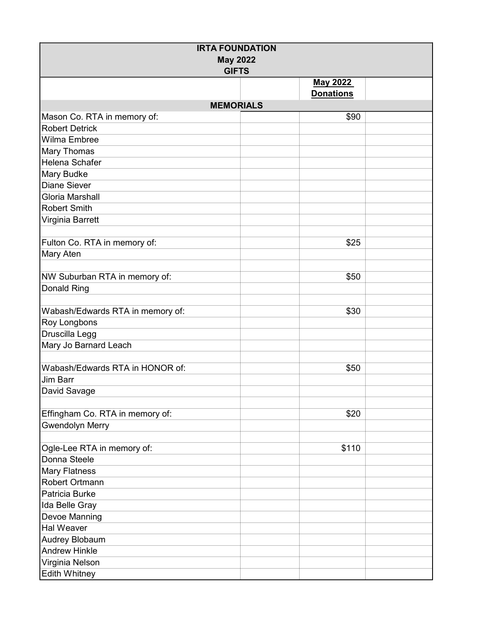| <b>IRTA FOUNDATION</b><br><b>May 2022</b><br><b>GIFTS</b> |  |                  |  |  |  |
|-----------------------------------------------------------|--|------------------|--|--|--|
|                                                           |  | <b>May 2022</b>  |  |  |  |
|                                                           |  | <b>Donations</b> |  |  |  |
| <b>MEMORIALS</b>                                          |  |                  |  |  |  |
| Mason Co. RTA in memory of:                               |  | \$90             |  |  |  |
| <b>Robert Detrick</b>                                     |  |                  |  |  |  |
| Wilma Embree                                              |  |                  |  |  |  |
| Mary Thomas                                               |  |                  |  |  |  |
| Helena Schafer                                            |  |                  |  |  |  |
| Mary Budke                                                |  |                  |  |  |  |
| <b>Diane Siever</b>                                       |  |                  |  |  |  |
| Gloria Marshall                                           |  |                  |  |  |  |
| <b>Robert Smith</b>                                       |  |                  |  |  |  |
| Virginia Barrett                                          |  |                  |  |  |  |
|                                                           |  |                  |  |  |  |
| Fulton Co. RTA in memory of:                              |  | \$25             |  |  |  |
| Mary Aten                                                 |  |                  |  |  |  |
|                                                           |  |                  |  |  |  |
| NW Suburban RTA in memory of:                             |  | \$50             |  |  |  |
| Donald Ring                                               |  |                  |  |  |  |
|                                                           |  |                  |  |  |  |
| Wabash/Edwards RTA in memory of:                          |  | \$30             |  |  |  |
| Roy Longbons                                              |  |                  |  |  |  |
| Druscilla Legg                                            |  |                  |  |  |  |
| Mary Jo Barnard Leach                                     |  |                  |  |  |  |
|                                                           |  |                  |  |  |  |
| Wabash/Edwards RTA in HONOR of:                           |  | \$50             |  |  |  |
| <b>Jim Barr</b>                                           |  |                  |  |  |  |
| David Savage                                              |  |                  |  |  |  |
|                                                           |  |                  |  |  |  |
| Effingham Co. RTA in memory of:                           |  | \$20             |  |  |  |
| <b>Gwendolyn Merry</b>                                    |  |                  |  |  |  |
|                                                           |  |                  |  |  |  |
| Ogle-Lee RTA in memory of:                                |  | \$110            |  |  |  |
| Donna Steele                                              |  |                  |  |  |  |
| <b>Mary Flatness</b>                                      |  |                  |  |  |  |
| Robert Ortmann                                            |  |                  |  |  |  |
| Patricia Burke                                            |  |                  |  |  |  |
| Ida Belle Gray                                            |  |                  |  |  |  |
| Devoe Manning                                             |  |                  |  |  |  |
| <b>Hal Weaver</b>                                         |  |                  |  |  |  |
| Audrey Blobaum                                            |  |                  |  |  |  |
| <b>Andrew Hinkle</b>                                      |  |                  |  |  |  |
| Virginia Nelson                                           |  |                  |  |  |  |
| <b>Edith Whitney</b>                                      |  |                  |  |  |  |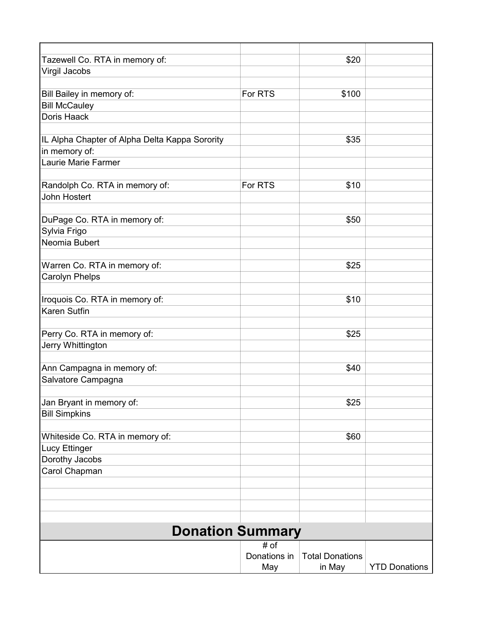| Tazewell Co. RTA in memory of:                 |              | \$20                   |                      |  |  |  |
|------------------------------------------------|--------------|------------------------|----------------------|--|--|--|
| Virgil Jacobs                                  |              |                        |                      |  |  |  |
|                                                |              |                        |                      |  |  |  |
| Bill Bailey in memory of:                      | For RTS      | \$100                  |                      |  |  |  |
| <b>Bill McCauley</b>                           |              |                        |                      |  |  |  |
| Doris Haack                                    |              |                        |                      |  |  |  |
|                                                |              |                        |                      |  |  |  |
| IL Alpha Chapter of Alpha Delta Kappa Sorority |              | \$35                   |                      |  |  |  |
| in memory of:                                  |              |                        |                      |  |  |  |
| Laurie Marie Farmer                            |              |                        |                      |  |  |  |
|                                                |              |                        |                      |  |  |  |
| Randolph Co. RTA in memory of:                 | For RTS      | \$10                   |                      |  |  |  |
| <b>John Hostert</b>                            |              |                        |                      |  |  |  |
|                                                |              |                        |                      |  |  |  |
| DuPage Co. RTA in memory of:                   |              | \$50                   |                      |  |  |  |
| Sylvia Frigo                                   |              |                        |                      |  |  |  |
| Neomia Bubert                                  |              |                        |                      |  |  |  |
|                                                |              |                        |                      |  |  |  |
| Warren Co. RTA in memory of:                   |              | \$25                   |                      |  |  |  |
| <b>Carolyn Phelps</b>                          |              |                        |                      |  |  |  |
|                                                |              |                        |                      |  |  |  |
| Iroquois Co. RTA in memory of:                 |              | \$10                   |                      |  |  |  |
| <b>Karen Sutfin</b>                            |              |                        |                      |  |  |  |
|                                                |              |                        |                      |  |  |  |
| Perry Co. RTA in memory of:                    |              | \$25                   |                      |  |  |  |
| Jerry Whittington                              |              |                        |                      |  |  |  |
|                                                |              |                        |                      |  |  |  |
| Ann Campagna in memory of:                     |              | \$40                   |                      |  |  |  |
| Salvatore Campagna                             |              |                        |                      |  |  |  |
|                                                |              |                        |                      |  |  |  |
| Jan Bryant in memory of:                       |              | \$25                   |                      |  |  |  |
| <b>Bill Simpkins</b>                           |              |                        |                      |  |  |  |
|                                                |              |                        |                      |  |  |  |
| Whiteside Co. RTA in memory of:                |              | \$60                   |                      |  |  |  |
| <b>Lucy Ettinger</b>                           |              |                        |                      |  |  |  |
| Dorothy Jacobs                                 |              |                        |                      |  |  |  |
| Carol Chapman                                  |              |                        |                      |  |  |  |
|                                                |              |                        |                      |  |  |  |
|                                                |              |                        |                      |  |  |  |
|                                                |              |                        |                      |  |  |  |
|                                                |              |                        |                      |  |  |  |
| <b>Donation Summary</b>                        |              |                        |                      |  |  |  |
|                                                | # of         |                        |                      |  |  |  |
|                                                | Donations in | <b>Total Donations</b> |                      |  |  |  |
|                                                | May          | in May                 | <b>YTD Donations</b> |  |  |  |